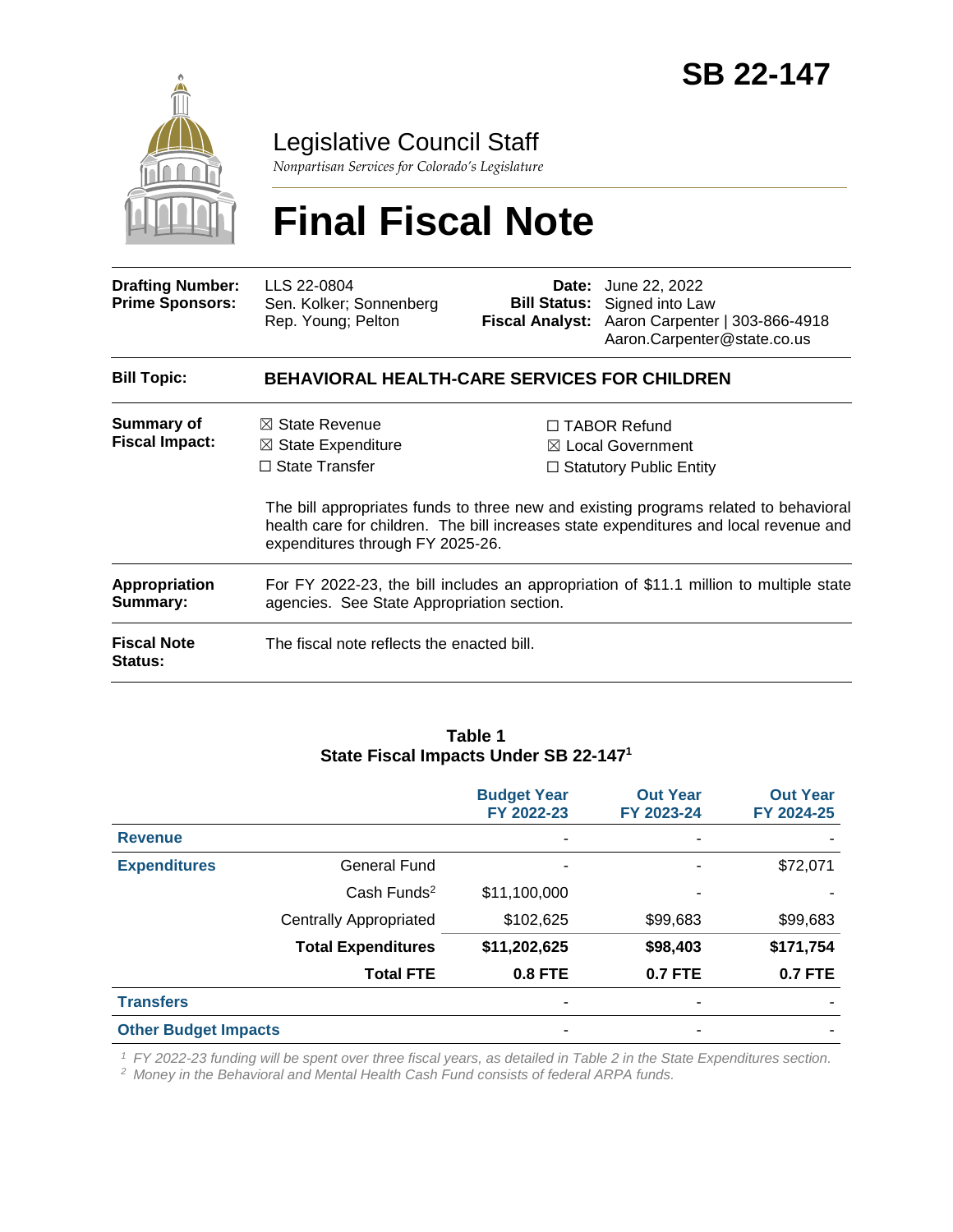

Legislative Council Staff

*Nonpartisan Services for Colorado's Legislature*

# **Final Fiscal Note**

| <b>Drafting Number:</b><br><b>Prime Sponsors:</b> | LLS 22-0804<br>Sen. Kolker; Sonnenberg<br>Rep. Young; Pelton                                                                         |  | <b>Date:</b> June 22, 2022<br><b>Bill Status:</b> Signed into Law<br>Fiscal Analyst: Aaron Carpenter   303-866-4918<br>Aaron.Carpenter@state.co.us                                                                                                                     |  |  |
|---------------------------------------------------|--------------------------------------------------------------------------------------------------------------------------------------|--|------------------------------------------------------------------------------------------------------------------------------------------------------------------------------------------------------------------------------------------------------------------------|--|--|
| <b>Bill Topic:</b>                                | <b>BEHAVIORAL HEALTH-CARE SERVICES FOR CHILDREN</b>                                                                                  |  |                                                                                                                                                                                                                                                                        |  |  |
| <b>Summary of</b><br><b>Fiscal Impact:</b>        | $\boxtimes$ State Revenue<br>$\boxtimes$ State Expenditure<br>$\Box$ State Transfer<br>expenditures through FY 2025-26.              |  | $\Box$ TABOR Refund<br>$\boxtimes$ Local Government<br>$\Box$ Statutory Public Entity<br>The bill appropriates funds to three new and existing programs related to behavioral<br>health care for children. The bill increases state expenditures and local revenue and |  |  |
| Appropriation<br>Summary:                         | For FY 2022-23, the bill includes an appropriation of \$11.1 million to multiple state<br>agencies. See State Appropriation section. |  |                                                                                                                                                                                                                                                                        |  |  |
| <b>Fiscal Note</b><br><b>Status:</b>              | The fiscal note reflects the enacted bill.                                                                                           |  |                                                                                                                                                                                                                                                                        |  |  |

#### **Table 1 State Fiscal Impacts Under SB 22-147<sup>1</sup>**

|                             |                               | <b>Budget Year</b><br>FY 2022-23 | <b>Out Year</b><br>FY 2023-24 | <b>Out Year</b><br>FY 2024-25 |
|-----------------------------|-------------------------------|----------------------------------|-------------------------------|-------------------------------|
| <b>Revenue</b>              |                               | ۰                                |                               |                               |
| <b>Expenditures</b>         | General Fund                  | ۰                                |                               | \$72,071                      |
|                             | Cash Funds <sup>2</sup>       | \$11,100,000                     |                               |                               |
|                             | <b>Centrally Appropriated</b> | \$102,625                        | \$99,683                      | \$99,683                      |
|                             | <b>Total Expenditures</b>     | \$11,202,625                     | \$98,403                      | \$171,754                     |
|                             | <b>Total FTE</b>              | $0.8$ FTE                        | <b>0.7 FTE</b>                | <b>0.7 FTE</b>                |
| <b>Transfers</b>            |                               | ۰                                |                               |                               |
| <b>Other Budget Impacts</b> |                               | ۰                                |                               |                               |

*<sup>1</sup> FY 2022-23 funding will be spent over three fiscal years, as detailed in Table 2 in the State Expenditures section.*

*<sup>2</sup> Money in the Behavioral and Mental Health Cash Fund consists of federal ARPA funds.*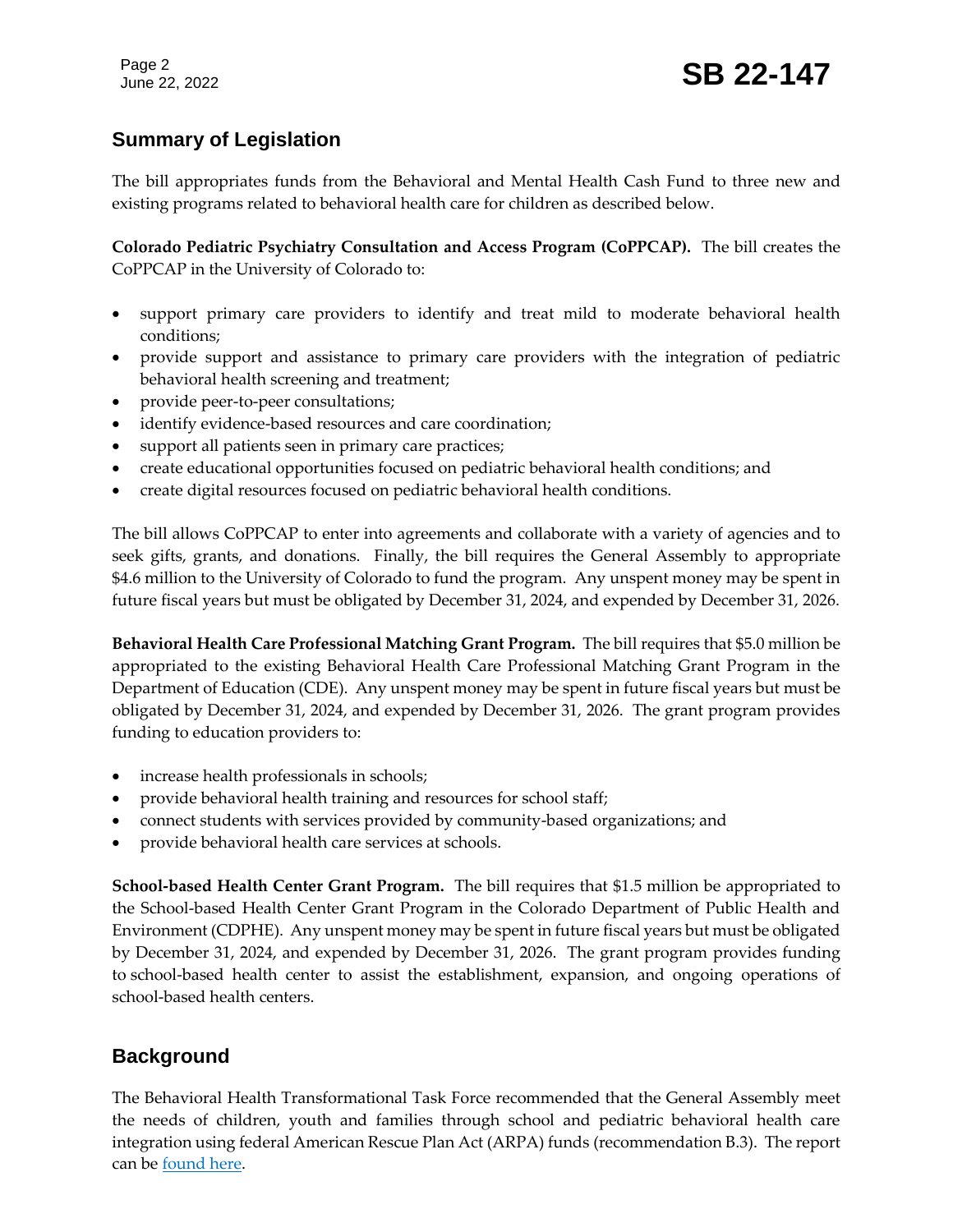# **Summary of Legislation**

The bill appropriates funds from the Behavioral and Mental Health Cash Fund to three new and existing programs related to behavioral health care for children as described below.

**Colorado Pediatric Psychiatry Consultation and Access Program (CoPPCAP).** The bill creates the CoPPCAP in the University of Colorado to:

- support primary care providers to identify and treat mild to moderate behavioral health conditions;
- provide support and assistance to primary care providers with the integration of pediatric behavioral health screening and treatment;
- provide peer-to-peer consultations;
- identify evidence-based resources and care coordination;
- support all patients seen in primary care practices;
- create educational opportunities focused on pediatric behavioral health conditions; and
- create digital resources focused on pediatric behavioral health conditions.

The bill allows CoPPCAP to enter into agreements and collaborate with a variety of agencies and to seek gifts, grants, and donations. Finally, the bill requires the General Assembly to appropriate \$4.6 million to the University of Colorado to fund the program. Any unspent money may be spent in future fiscal years but must be obligated by December 31, 2024, and expended by December 31, 2026.

**Behavioral Health Care Professional Matching Grant Program.** The bill requires that \$5.0 million be appropriated to the existing Behavioral Health Care Professional Matching Grant Program in the Department of Education (CDE). Any unspent money may be spent in future fiscal years but must be obligated by December 31, 2024, and expended by December 31, 2026. The grant program provides funding to education providers to:

- increase health professionals in schools;
- provide behavioral health training and resources for school staff;
- connect students with services provided by community-based organizations; and
- provide behavioral health care services at schools.

**School-based Health Center Grant Program.** The bill requires that \$1.5 million be appropriated to the School-based Health Center Grant Program in the Colorado Department of Public Health and Environment (CDPHE). Any unspent money may be spent in future fiscal years but must be obligated by December 31, 2024, and expended by December 31, 2026. The grant program provides funding to school-based health center to assist the establishment, expansion, and ongoing operations of school-based health centers.

# **Background**

The Behavioral Health Transformational Task Force recommended that the General Assembly meet the needs of children, youth and families through school and pediatric behavioral health care integration using federal American Rescue Plan Act (ARPA) funds (recommendation B.3). The report can be [found here.](https://leg.colorado.gov/sites/default/files/images/committees/2017/bhttf_final_report.pdf)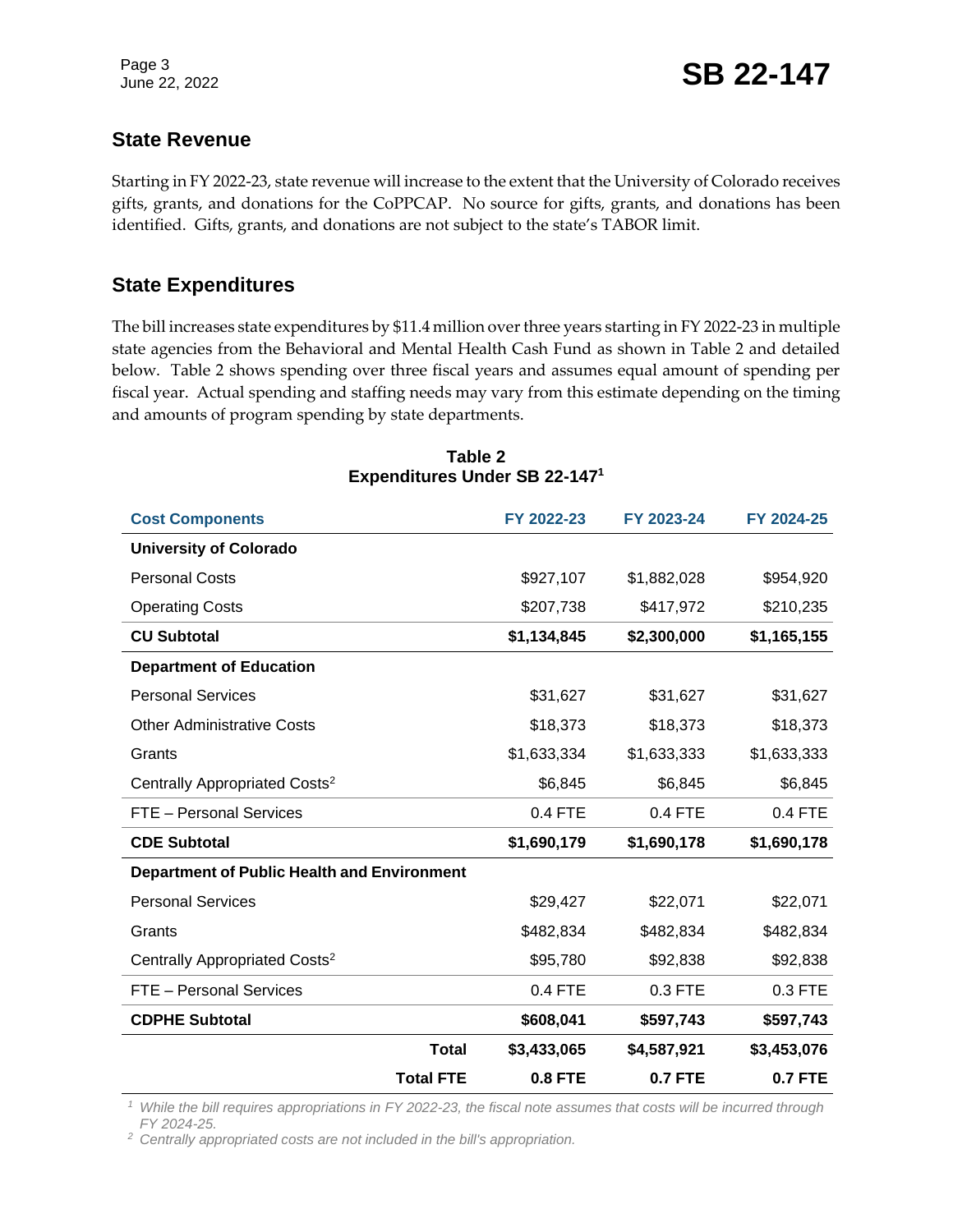## **State Revenue**

Starting in FY 2022-23, state revenue will increase to the extent that the University of Colorado receives gifts, grants, and donations for the CoPPCAP. No source for gifts, grants, and donations has been identified. Gifts, grants, and donations are not subject to the state's TABOR limit.

## **State Expenditures**

The bill increases state expenditures by \$11.4 million over three years starting in FY 2022-23 in multiple state agencies from the Behavioral and Mental Health Cash Fund as shown in Table 2 and detailed below. Table 2 shows spending over three fiscal years and assumes equal amount of spending per fiscal year. Actual spending and staffing needs may vary from this estimate depending on the timing and amounts of program spending by state departments.

| <b>Total FTE</b>                                   |              | <b>0.8 FTE</b> | <b>0.7 FTE</b> | <b>0.7 FTE</b> |
|----------------------------------------------------|--------------|----------------|----------------|----------------|
|                                                    | <b>Total</b> | \$3,433,065    | \$4,587,921    | \$3,453,076    |
| <b>CDPHE Subtotal</b>                              |              | \$608,041      | \$597,743      | \$597,743      |
| FTE - Personal Services                            |              | 0.4 FTE        | 0.3 FTE        | 0.3 FTE        |
| Centrally Appropriated Costs <sup>2</sup>          |              | \$95,780       | \$92,838       | \$92,838       |
| Grants                                             |              | \$482,834      | \$482,834      | \$482,834      |
| <b>Personal Services</b>                           |              | \$29,427       | \$22,071       | \$22,071       |
| <b>Department of Public Health and Environment</b> |              |                |                |                |
| <b>CDE Subtotal</b>                                |              | \$1,690,179    | \$1,690,178    | \$1,690,178    |
| FTE - Personal Services                            |              | 0.4 FTE        | 0.4 FTE        | 0.4 FTE        |
| Centrally Appropriated Costs <sup>2</sup>          |              | \$6,845        | \$6,845        | \$6,845        |
| Grants                                             |              | \$1,633,334    | \$1,633,333    | \$1,633,333    |
| <b>Other Administrative Costs</b>                  |              | \$18,373       | \$18,373       | \$18,373       |
| <b>Personal Services</b>                           |              | \$31,627       | \$31,627       | \$31,627       |
| <b>Department of Education</b>                     |              |                |                |                |
| <b>CU Subtotal</b>                                 |              | \$1,134,845    | \$2,300,000    | \$1,165,155    |
| <b>Operating Costs</b>                             |              | \$207,738      | \$417,972      | \$210,235      |
| <b>Personal Costs</b>                              |              | \$927,107      | \$1,882,028    | \$954,920      |
| <b>University of Colorado</b>                      |              |                |                |                |
| <b>Cost Components</b>                             |              | FY 2022-23     | FY 2023-24     | FY 2024-25     |
|                                                    |              |                |                |                |

#### **Table 2 Expenditures Under SB 22-147<sup>1</sup>**

*<sup>1</sup> While the bill requires appropriations in FY 2022-23, the fiscal note assumes that costs will be incurred through FY 2024-25.*

*<sup>2</sup> Centrally appropriated costs are not included in the bill's appropriation.*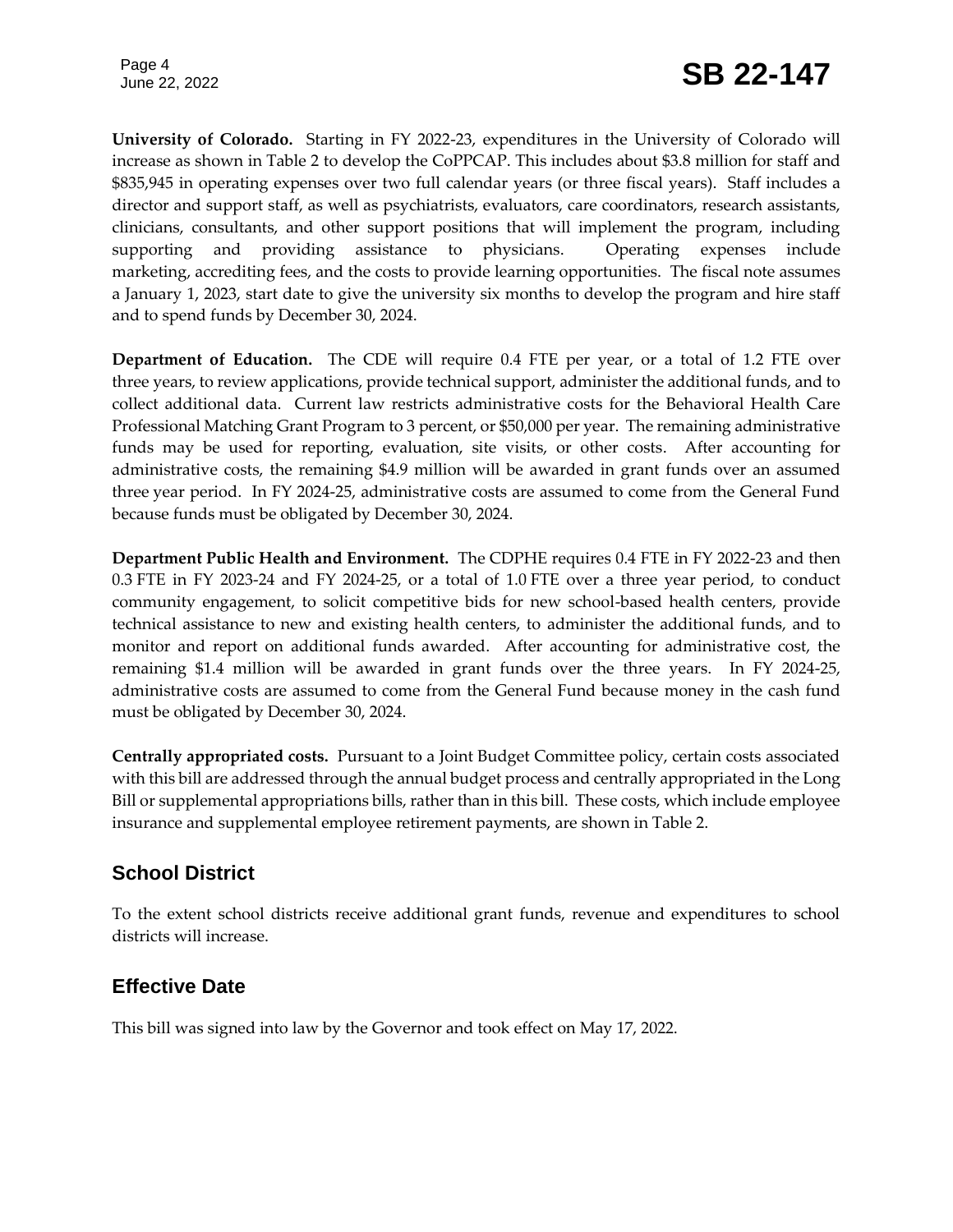Page 4

**University of Colorado.** Starting in FY 2022-23, expenditures in the University of Colorado will increase as shown in Table 2 to develop the CoPPCAP. This includes about \$3.8 million for staff and \$835,945 in operating expenses over two full calendar years (or three fiscal years). Staff includes a director and support staff, as well as psychiatrists, evaluators, care coordinators, research assistants, clinicians, consultants, and other support positions that will implement the program, including supporting and providing assistance to physicians. Operating expenses include marketing, accrediting fees, and the costs to provide learning opportunities. The fiscal note assumes a January 1, 2023, start date to give the university six months to develop the program and hire staff and to spend funds by December 30, 2024.

**Department of Education.** The CDE will require 0.4 FTE per year, or a total of 1.2 FTE over three years, to review applications, provide technical support, administer the additional funds, and to collect additional data. Current law restricts administrative costs for the Behavioral Health Care Professional Matching Grant Program to 3 percent, or \$50,000 per year. The remaining administrative funds may be used for reporting, evaluation, site visits, or other costs. After accounting for administrative costs, the remaining \$4.9 million will be awarded in grant funds over an assumed three year period. In FY 2024-25, administrative costs are assumed to come from the General Fund because funds must be obligated by December 30, 2024.

**Department Public Health and Environment.** The CDPHE requires 0.4 FTE in FY 2022-23 and then 0.3 FTE in FY 2023-24 and FY 2024-25, or a total of 1.0 FTE over a three year period, to conduct community engagement, to solicit competitive bids for new school-based health centers, provide technical assistance to new and existing health centers, to administer the additional funds, and to monitor and report on additional funds awarded. After accounting for administrative cost, the remaining \$1.4 million will be awarded in grant funds over the three years. In FY 2024-25, administrative costs are assumed to come from the General Fund because money in the cash fund must be obligated by December 30, 2024.

**Centrally appropriated costs.** Pursuant to a Joint Budget Committee policy, certain costs associated with this bill are addressed through the annual budget process and centrally appropriated in the Long Bill or supplemental appropriations bills, rather than in this bill. These costs, which include employee insurance and supplemental employee retirement payments, are shown in Table 2.

# **School District**

To the extent school districts receive additional grant funds, revenue and expenditures to school districts will increase.

# **Effective Date**

This bill was signed into law by the Governor and took effect on May 17, 2022.